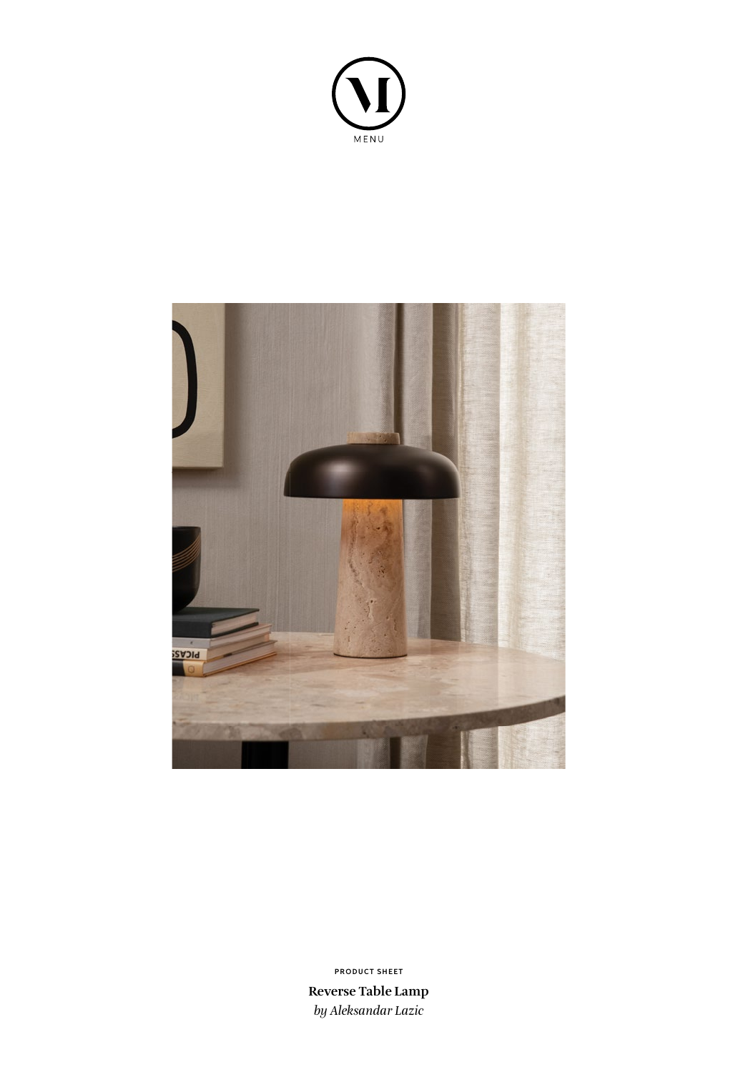



**Reverse Table Lamp** *by Aleksandar Lazic* **PRODUCT SHEET**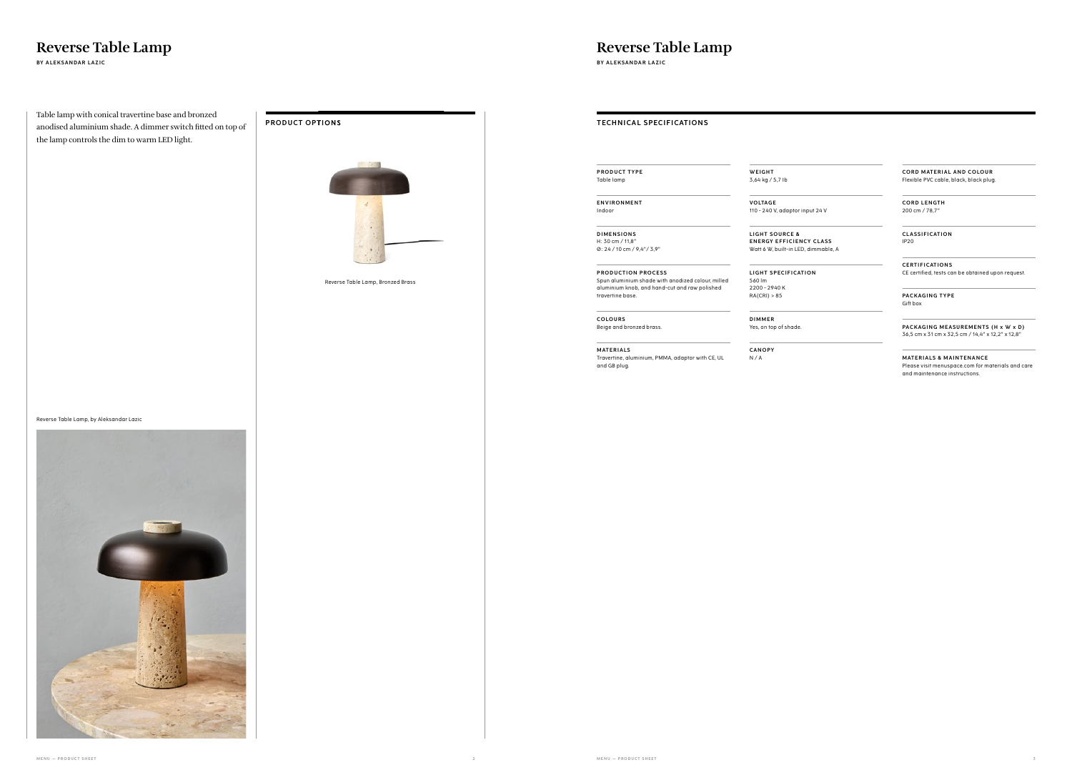**MENU — PRODUCT SHEET 2 MENU — PRODUCT SHEET 3**

### **PRODUCT OPTIONS**



# **Reverse Table Lamp**<br>BY ALEKSANDAR LAZIC<br>BY ALEKSANDAR LAZIC

Table lamp with conical travertine base and bronzed anodised aluminium shade. A dimmer switch fitted on top of the lamp controls the dim to warm LED light.

Reverse Table Lamp, by Aleksandar Lazic



**BY ALEKSANDAR LAZIC BY ALEKSANDAR LAZIC**

Reverse Table Lamp, Bronzed Brass

**TECHNICAL SPECIFICATIONS** 

**PRODUCT TYPE** Table lamp

**ENVIRONMENT** Indoor

> **LIGHT SOURCE & ENERGY EFFICIENCY CLASS** Watt 6 W, built-in LED, dimmable, A

**LIGHT SPECIFICATION** 

**DIMENSIONS** H: 30 cm / 11,8" Ø: 24 / 10 cm / 9,4"/ 3,9" **CORD MATERIAL AND COLOUR** Flexible PVC cable, black, black plug.

**PRODUCTION PROCESS** Spun aluminium shade with anodized colour, milled aluminium knob, and hand-cut and raw polished travertine base.

**COLOURS** Beige and bronzed brass.

**M AT E R I A LS** Travertine, aluminium, PMMA, adaptor with CE, UL

**MATERIALS & MAINTENANCE** Please visit menuspace.com for materials and care and maintenance instructions.

and GB plug.

### **WEIGHT**

3,64 kg / 5,7 Ib

**VO LTAG E** 110 - 240 V, adaptor input 24 V

560 lm

2200 - 2940 K RA(CRI) > 85

**DIMMER** Yes, on top of shade.

**CANOPY** N / A

**CORD LENGTH** 200 cm / 78,7"

**C L AS S I F I CAT I O N** IP20

**C E RT I F I CAT I O N S** CE certified, tests can be obtained upon request.

**PACKAGING TYPE** Gift box

**PACKAGING MEASUREMENTS (H x W x D)** 36,5 cm x 31 cm x 32,5 cm / 14,4" x 12,2" x 12,8"